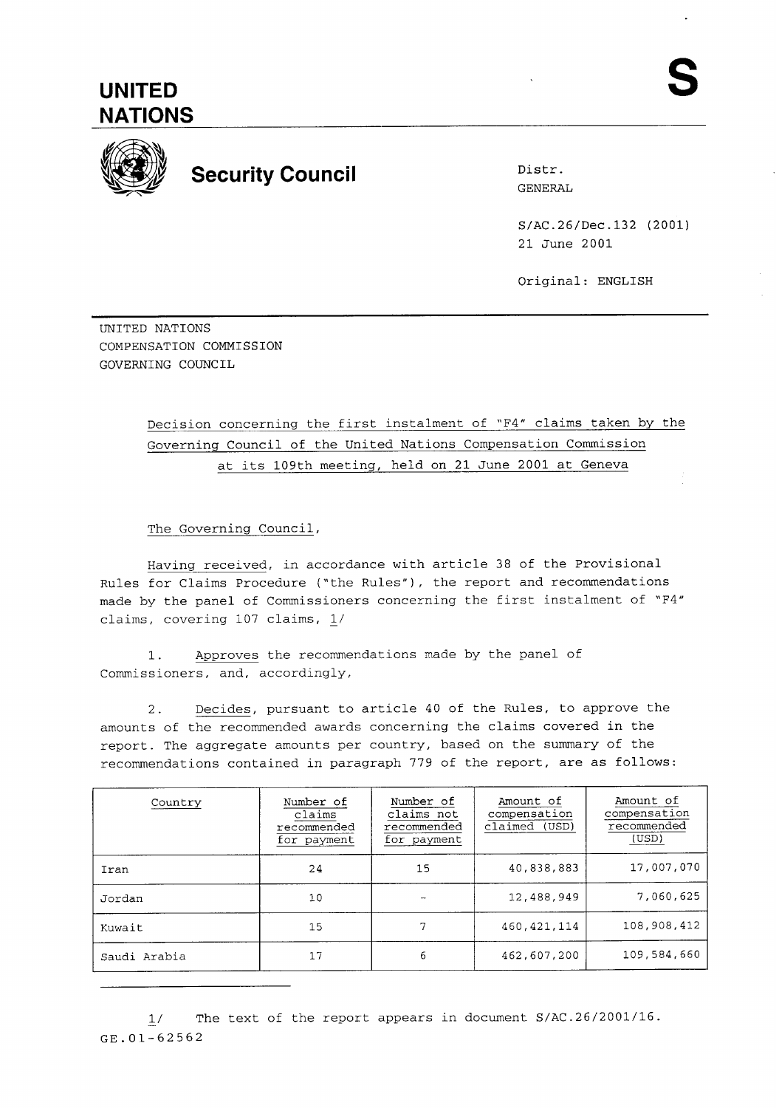

## **Security Council Distrement Security Council**

GENERAL

S/AC.26/Dec.132 (2001) 21 June 2001

Original: ENGLISH

UNITED NATIONS COMPENSATION COMMISSION GOVERNING COUNCIL

## Decision concerning the first instalment of "F4" claims taken by the Governing Council of the United Nations Compensation Commission at its 109th meeting, held on 21 June 2001 at Geneva

The Governing Council,

Having received, in accordance with article 38 of the Provisional Rules for Claims Procedure ('the Rules"), the report and recommendations made by the panel of Commissioners concerning the first instalment of "F4" claims, covering 107 claims, 1/

1. Approves the recommendations made by the panel of Commissioners, and, accordingly,

2. Decides, pursuant to article 40 of the Rules, to approve the amounts of the recommended awards concerning the claims covered in the report. The aggregate amounts per country, based on the summary of the recommendations contained in paragraph 779 of the report, are as follows:

| Country      | Number of<br>claims<br>recommended<br>for payment | Number of<br>claims not<br>recommended<br>for payment | Amount of<br>compensation<br>claimed (USD) | Amount of<br>compensation<br>recommended<br>(USD) |
|--------------|---------------------------------------------------|-------------------------------------------------------|--------------------------------------------|---------------------------------------------------|
| Iran         | 24                                                | 15                                                    | 40,838,883                                 | 17,007,070                                        |
| Jordan       | 10                                                |                                                       | 12,488,949                                 | 7,060,625                                         |
| Kuwait       | 15                                                | 7                                                     | 460, 421, 114                              | 108,908,412                                       |
| Saudi Arabia | 17                                                | 6                                                     | 462,607,200                                | 109,584,660                                       |

 $1/$ The text of the report appears in document S/AC.26/2001/16. GE.01-62562